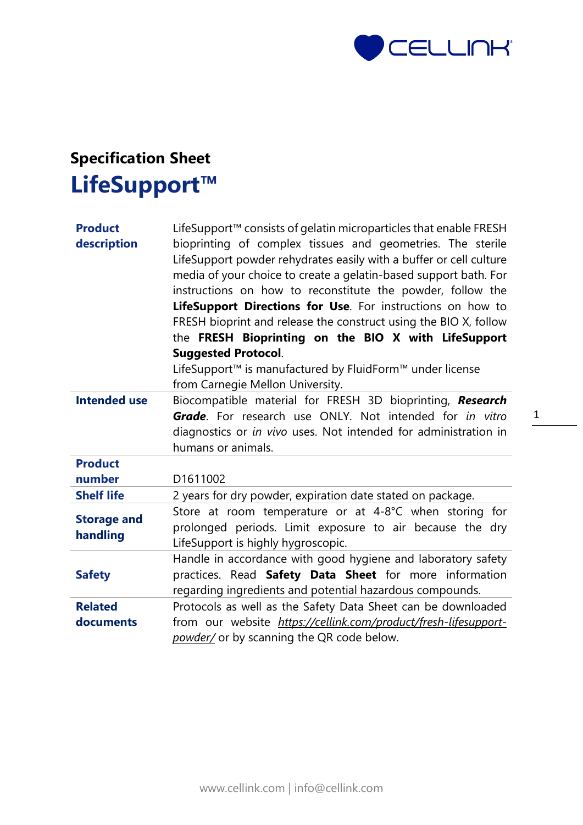

## **Specification Sheet LifeSupport™**

| <b>Product</b><br>description  | LifeSupport™ consists of gelatin microparticles that enable FRESH<br>bioprinting of complex tissues and geometries. The sterile<br>LifeSupport powder rehydrates easily with a buffer or cell culture<br>media of your choice to create a gelatin-based support bath. For<br>instructions on how to reconstitute the powder, follow the<br>LifeSupport Directions for Use. For instructions on how to<br>FRESH bioprint and release the construct using the BIO X, follow<br>the FRESH Bioprinting on the BIO X with LifeSupport<br><b>Suggested Protocol.</b><br>LifeSupport <sup>™</sup> is manufactured by FluidForm™ under license<br>from Carnegie Mellon University. |  |
|--------------------------------|----------------------------------------------------------------------------------------------------------------------------------------------------------------------------------------------------------------------------------------------------------------------------------------------------------------------------------------------------------------------------------------------------------------------------------------------------------------------------------------------------------------------------------------------------------------------------------------------------------------------------------------------------------------------------|--|
| <b>Intended use</b>            | Biocompatible material for FRESH 3D bioprinting, Research<br>Grade. For research use ONLY. Not intended for in vitro<br>diagnostics or in vivo uses. Not intended for administration in<br>humans or animals.                                                                                                                                                                                                                                                                                                                                                                                                                                                              |  |
| <b>Product</b>                 |                                                                                                                                                                                                                                                                                                                                                                                                                                                                                                                                                                                                                                                                            |  |
| number                         | D1611002                                                                                                                                                                                                                                                                                                                                                                                                                                                                                                                                                                                                                                                                   |  |
| <b>Shelf life</b>              | 2 years for dry powder, expiration date stated on package.                                                                                                                                                                                                                                                                                                                                                                                                                                                                                                                                                                                                                 |  |
| <b>Storage and</b><br>handling | Store at room temperature or at 4-8°C when storing for<br>prolonged periods. Limit exposure to air because the dry<br>LifeSupport is highly hygroscopic.                                                                                                                                                                                                                                                                                                                                                                                                                                                                                                                   |  |
| <b>Safety</b>                  | Handle in accordance with good hygiene and laboratory safety<br>practices. Read Safety Data Sheet for more information<br>regarding ingredients and potential hazardous compounds.                                                                                                                                                                                                                                                                                                                                                                                                                                                                                         |  |
| <b>Related</b>                 | Protocols as well as the Safety Data Sheet can be downloaded                                                                                                                                                                                                                                                                                                                                                                                                                                                                                                                                                                                                               |  |
| documents                      | from our website https://cellink.com/product/fresh-lifesupport-                                                                                                                                                                                                                                                                                                                                                                                                                                                                                                                                                                                                            |  |
|                                | powder/ or by scanning the QR code below.                                                                                                                                                                                                                                                                                                                                                                                                                                                                                                                                                                                                                                  |  |